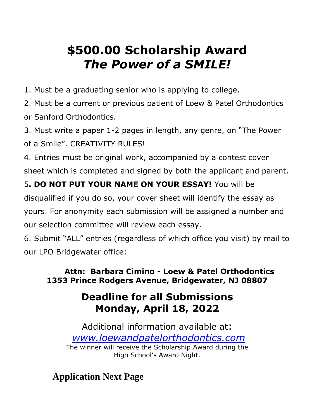# **\$500.00 Scholarship Award** *The Power of a SMILE!*

1. Must be a graduating senior who is applying to college.

2. Must be a current or previous patient of Loew & Patel Orthodontics or Sanford Orthodontics.

3. Must write a paper 1-2 pages in length, any genre, on "The Power of a Smile". CREATIVITY RULES!

4. Entries must be original work, accompanied by a contest cover sheet which is completed and signed by both the applicant and parent.

#### 5**. DO NOT PUT YOUR NAME ON YOUR ESSAY!** You will be

disqualified if you do so, your cover sheet will identify the essay as

yours. For anonymity each submission will be assigned a number and our selection committee will review each essay.

6. Submit "ALL" entries (regardless of which office you visit) by mail to our LPO Bridgewater office:

#### **Attn: Barbara Cimino - Loew & Patel Orthodontics 1353 Prince Rodgers Avenue, Bridgewater, NJ 08807**

## **Deadline for all Submissions Monday, April 18, 2022**

Additional information available at: *[www.loewandpatelorthodontics.com](http://www.loewandpatelorthodontics.com/)* The winner will receive the Scholarship Award during the High School's Award Night.

**Application Next Page**